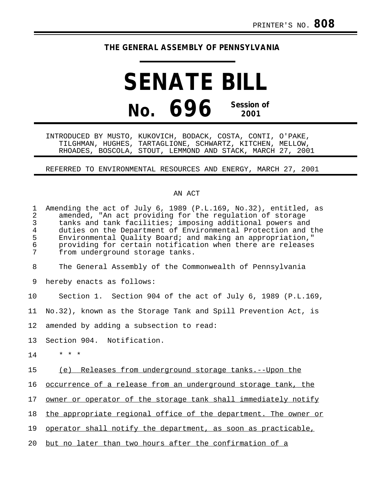## **THE GENERAL ASSEMBLY OF PENNSYLVANIA**

**SENATE BILL No. 696 Session of 2001**

INTRODUCED BY MUSTO, KUKOVICH, BODACK, COSTA, CONTI, O'PAKE, TILGHMAN, HUGHES, TARTAGLIONE, SCHWARTZ, KITCHEN, MELLOW, RHOADES, BOSCOLA, STOUT, LEMMOND AND STACK, MARCH 27, 2001

## REFERRED TO ENVIRONMENTAL RESOURCES AND ENERGY, MARCH 27, 2001

## AN ACT

| 1<br>$\overline{2}$<br>3<br>$\overline{4}$<br>5<br>$\epsilon$<br>7 | Amending the act of July 6, 1989 (P.L.169, No.32), entitled, as<br>amended, "An act providing for the regulation of storage<br>tanks and tank facilities; imposing additional powers and<br>duties on the Department of Environmental Protection and the<br>Environmental Quality Board; and making an appropriation,"<br>providing for certain notification when there are releases<br>from underground storage tanks. |
|--------------------------------------------------------------------|-------------------------------------------------------------------------------------------------------------------------------------------------------------------------------------------------------------------------------------------------------------------------------------------------------------------------------------------------------------------------------------------------------------------------|
| 8                                                                  | The General Assembly of the Commonwealth of Pennsylvania                                                                                                                                                                                                                                                                                                                                                                |
| 9                                                                  | hereby enacts as follows:                                                                                                                                                                                                                                                                                                                                                                                               |
| 10                                                                 | Section 1. Section 904 of the act of July 6, 1989 (P.L.169,                                                                                                                                                                                                                                                                                                                                                             |
| 11                                                                 | No.32), known as the Storage Tank and Spill Prevention Act, is                                                                                                                                                                                                                                                                                                                                                          |
| 12                                                                 | amended by adding a subsection to read:                                                                                                                                                                                                                                                                                                                                                                                 |
| 13                                                                 | Section 904. Notification.                                                                                                                                                                                                                                                                                                                                                                                              |
| 14                                                                 | $* * *$                                                                                                                                                                                                                                                                                                                                                                                                                 |
| 15                                                                 | (e) Releases from underground storage tanks.--Upon the                                                                                                                                                                                                                                                                                                                                                                  |
| 16                                                                 | occurrence of a release from an underground storage tank, the                                                                                                                                                                                                                                                                                                                                                           |
| 17                                                                 | owner or operator of the storage tank shall immediately notify                                                                                                                                                                                                                                                                                                                                                          |
| 18                                                                 | the appropriate regional office of the department. The owner or                                                                                                                                                                                                                                                                                                                                                         |
| 19                                                                 | operator shall notify the department, as soon as practicable,                                                                                                                                                                                                                                                                                                                                                           |
| 20                                                                 | but no later than two hours after the confirmation of a                                                                                                                                                                                                                                                                                                                                                                 |